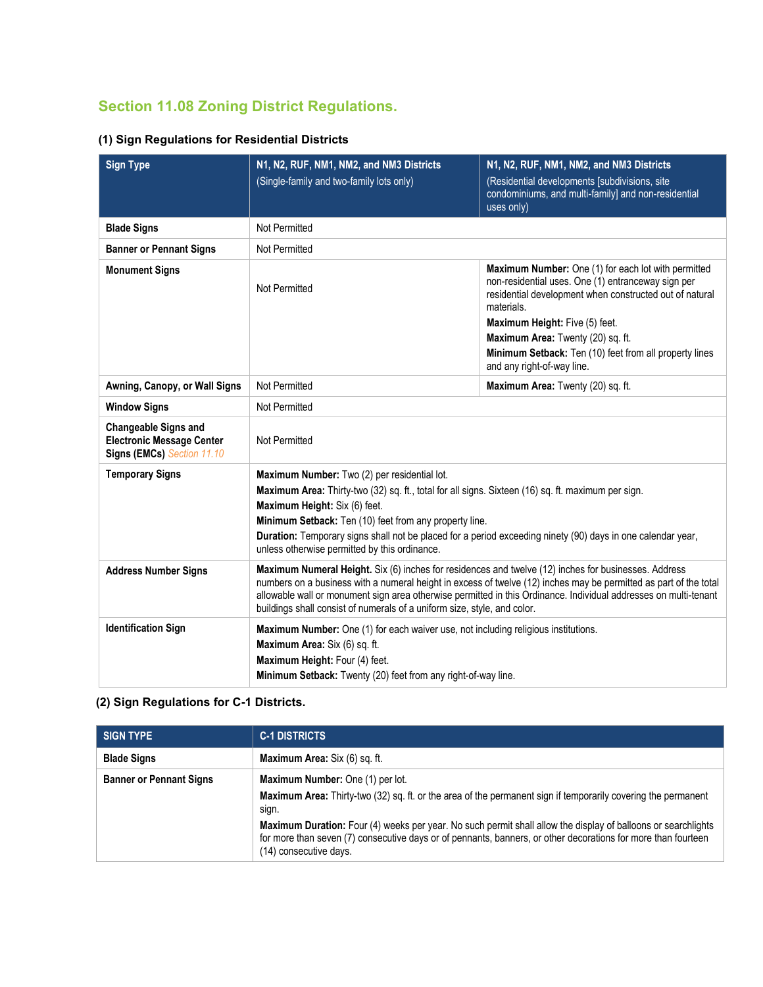# **Section 11.08 Zoning District Regulations.**

|  |  | (1) Sign Regulations for Residential Districts |
|--|--|------------------------------------------------|
|--|--|------------------------------------------------|

| <b>Sign Type</b>                                                                              | N1, N2, RUF, NM1, NM2, and NM3 Districts<br>(Single-family and two-family lots only)                                                                                                                                                                                                                                                                                                                                      | N1, N2, RUF, NM1, NM2, and NM3 Districts<br>(Residential developments [subdivisions, site<br>condominiums, and multi-family] and non-residential<br>uses only)                            |  |  |  |
|-----------------------------------------------------------------------------------------------|---------------------------------------------------------------------------------------------------------------------------------------------------------------------------------------------------------------------------------------------------------------------------------------------------------------------------------------------------------------------------------------------------------------------------|-------------------------------------------------------------------------------------------------------------------------------------------------------------------------------------------|--|--|--|
| <b>Blade Signs</b>                                                                            | Not Permitted                                                                                                                                                                                                                                                                                                                                                                                                             |                                                                                                                                                                                           |  |  |  |
| <b>Banner or Pennant Signs</b>                                                                | Not Permitted                                                                                                                                                                                                                                                                                                                                                                                                             |                                                                                                                                                                                           |  |  |  |
| <b>Monument Signs</b>                                                                         | Not Permitted                                                                                                                                                                                                                                                                                                                                                                                                             | <b>Maximum Number:</b> One (1) for each lot with permitted<br>non-residential uses. One (1) entranceway sign per<br>residential development when constructed out of natural<br>materials. |  |  |  |
|                                                                                               |                                                                                                                                                                                                                                                                                                                                                                                                                           | Maximum Height: Five (5) feet.<br>Maximum Area: Twenty (20) sq. ft.<br>Minimum Setback: Ten (10) feet from all property lines<br>and any right-of-way line.                               |  |  |  |
| Awning, Canopy, or Wall Signs                                                                 | Not Permitted<br>Maximum Area: Twenty (20) sq. ft.                                                                                                                                                                                                                                                                                                                                                                        |                                                                                                                                                                                           |  |  |  |
| <b>Window Signs</b>                                                                           | Not Permitted                                                                                                                                                                                                                                                                                                                                                                                                             |                                                                                                                                                                                           |  |  |  |
| <b>Changeable Signs and</b><br><b>Electronic Message Center</b><br>Signs (EMCs) Section 11.10 | Not Permitted                                                                                                                                                                                                                                                                                                                                                                                                             |                                                                                                                                                                                           |  |  |  |
| <b>Temporary Signs</b>                                                                        | Maximum Number: Two (2) per residential lot.<br>Maximum Area: Thirty-two (32) sq. ft., total for all signs. Sixteen (16) sq. ft. maximum per sign.<br>Maximum Height: Six (6) feet.<br>Minimum Setback: Ten (10) feet from any property line.<br>Duration: Temporary signs shall not be placed for a period exceeding ninety (90) days in one calendar year,<br>unless otherwise permitted by this ordinance.             |                                                                                                                                                                                           |  |  |  |
| <b>Address Number Signs</b>                                                                   | Maximum Numeral Height. Six (6) inches for residences and twelve (12) inches for businesses. Address<br>numbers on a business with a numeral height in excess of twelve (12) inches may be permitted as part of the total<br>allowable wall or monument sign area otherwise permitted in this Ordinance. Individual addresses on multi-tenant<br>buildings shall consist of numerals of a uniform size, style, and color. |                                                                                                                                                                                           |  |  |  |
| <b>Identification Sign</b>                                                                    | Maximum Number: One (1) for each waiver use, not including religious institutions.<br>Maximum Area: Six (6) sq. ft.<br>Maximum Height: Four (4) feet.<br>Minimum Setback: Twenty (20) feet from any right-of-way line.                                                                                                                                                                                                    |                                                                                                                                                                                           |  |  |  |

# **(2) Sign Regulations for C-1 Districts.**

| <b>SIGN TYPE</b>               | <b>C-1 DISTRICTS</b>                                                                                                                                                                                                                                                                                                                                                                                                   |
|--------------------------------|------------------------------------------------------------------------------------------------------------------------------------------------------------------------------------------------------------------------------------------------------------------------------------------------------------------------------------------------------------------------------------------------------------------------|
| <b>Blade Signs</b>             | <b>Maximum Area:</b> Six (6) sq. ft.                                                                                                                                                                                                                                                                                                                                                                                   |
| <b>Banner or Pennant Signs</b> | Maximum Number: One (1) per lot.<br>Maximum Area: Thirty-two (32) sq. ft. or the area of the permanent sign if temporarily covering the permanent<br>sign.<br>Maximum Duration: Four (4) weeks per year. No such permit shall allow the display of balloons or searchlights<br>for more than seven (7) consecutive days or of pennants, banners, or other decorations for more than fourteen<br>(14) consecutive days. |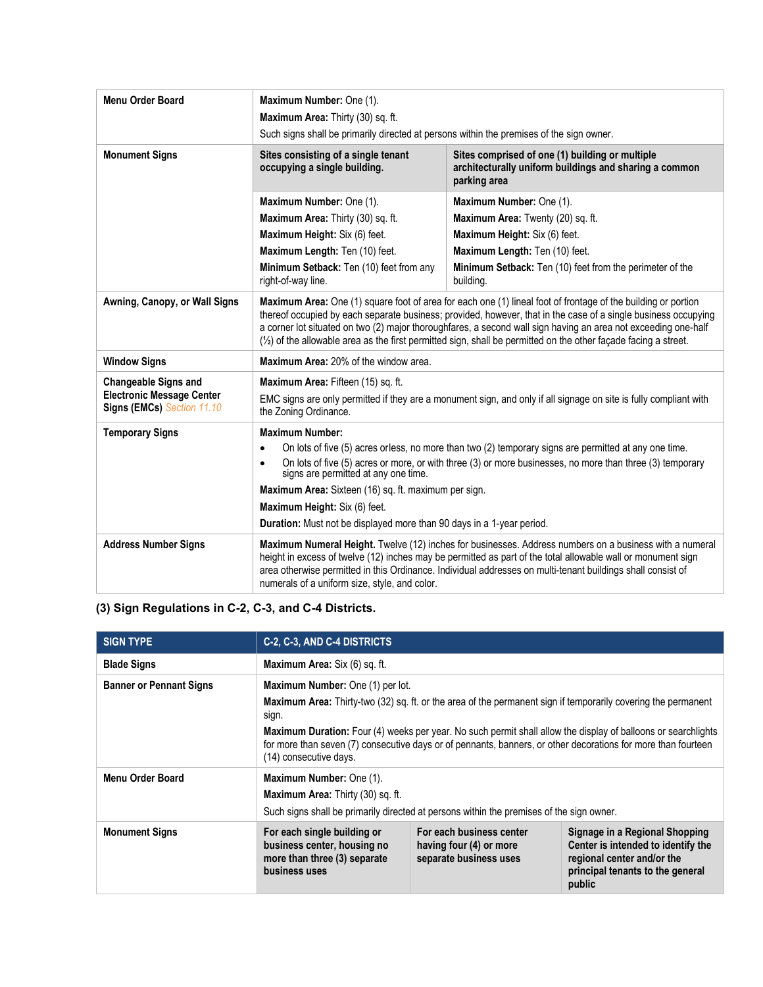| <b>Menu Order Board</b>                                        | Maximum Number: One (1).<br>Maximum Area: Thirty (30) sq. ft.                                                                                                                                                                                                                                                                                                                                                                                                         |                                                                       |  |  |
|----------------------------------------------------------------|-----------------------------------------------------------------------------------------------------------------------------------------------------------------------------------------------------------------------------------------------------------------------------------------------------------------------------------------------------------------------------------------------------------------------------------------------------------------------|-----------------------------------------------------------------------|--|--|
|                                                                | Such signs shall be primarily directed at persons within the premises of the sign owner.                                                                                                                                                                                                                                                                                                                                                                              |                                                                       |  |  |
| <b>Monument Signs</b>                                          | Sites consisting of a single tenant<br>Sites comprised of one (1) building or multiple<br>occupying a single building.<br>architecturally uniform buildings and sharing a common<br>parking area                                                                                                                                                                                                                                                                      |                                                                       |  |  |
|                                                                | Maximum Number: One (1).                                                                                                                                                                                                                                                                                                                                                                                                                                              | Maximum Number: One (1).                                              |  |  |
|                                                                | Maximum Area: Thirty (30) sq. ft.                                                                                                                                                                                                                                                                                                                                                                                                                                     | Maximum Area: Twenty (20) sq. ft.                                     |  |  |
|                                                                | Maximum Height: Six (6) feet.                                                                                                                                                                                                                                                                                                                                                                                                                                         | Maximum Height: Six (6) feet.                                         |  |  |
|                                                                | Maximum Length: Ten (10) feet.                                                                                                                                                                                                                                                                                                                                                                                                                                        | Maximum Length: Ten (10) feet.                                        |  |  |
|                                                                | Minimum Setback: Ten (10) feet from any<br>right-of-way line.                                                                                                                                                                                                                                                                                                                                                                                                         | Minimum Setback: Ten (10) feet from the perimeter of the<br>building. |  |  |
| Awning, Canopy, or Wall Signs                                  | Maximum Area: One (1) square foot of area for each one (1) lineal foot of frontage of the building or portion<br>thereof occupied by each separate business; provided, however, that in the case of a single business occupying<br>a corner lot situated on two (2) major thoroughfares, a second wall sign having an area not exceeding one-half<br>(1/2) of the allowable area as the first permitted sign, shall be permitted on the other facade facing a street. |                                                                       |  |  |
| <b>Window Signs</b>                                            | Maximum Area: 20% of the window area.                                                                                                                                                                                                                                                                                                                                                                                                                                 |                                                                       |  |  |
| <b>Changeable Signs and</b>                                    | Maximum Area: Fifteen (15) sq. ft.                                                                                                                                                                                                                                                                                                                                                                                                                                    |                                                                       |  |  |
| <b>Electronic Message Center</b><br>Signs (EMCs) Section 11.10 | EMC signs are only permitted if they are a monument sign, and only if all signage on site is fully compliant with<br>the Zoning Ordinance.                                                                                                                                                                                                                                                                                                                            |                                                                       |  |  |
| <b>Temporary Signs</b>                                         | <b>Maximum Number:</b>                                                                                                                                                                                                                                                                                                                                                                                                                                                |                                                                       |  |  |
|                                                                | On lots of five (5) acres orless, no more than two (2) temporary signs are permitted at any one time.<br>$\bullet$                                                                                                                                                                                                                                                                                                                                                    |                                                                       |  |  |
|                                                                | On lots of five (5) acres or more, or with three (3) or more businesses, no more than three (3) temporary<br>$\bullet$<br>signs are permitted at any one time.                                                                                                                                                                                                                                                                                                        |                                                                       |  |  |
|                                                                | Maximum Area: Sixteen (16) sq. ft. maximum per sign.                                                                                                                                                                                                                                                                                                                                                                                                                  |                                                                       |  |  |
|                                                                | Maximum Height: Six (6) feet.                                                                                                                                                                                                                                                                                                                                                                                                                                         |                                                                       |  |  |
|                                                                | Duration: Must not be displayed more than 90 days in a 1-year period.                                                                                                                                                                                                                                                                                                                                                                                                 |                                                                       |  |  |
| <b>Address Number Signs</b>                                    | Maximum Numeral Height. Twelve (12) inches for businesses. Address numbers on a business with a numeral<br>height in excess of twelve (12) inches may be permitted as part of the total allowable wall or monument sign<br>area otherwise permitted in this Ordinance. Individual addresses on multi-tenant buildings shall consist of<br>numerals of a uniform size, style, and color.                                                                               |                                                                       |  |  |

# **(3) Sign Regulations in C-2, C-3, and C-4 Districts.**

| <b>SIGN TYPE</b>               | C-2, C-3, AND C-4 DISTRICTS                                                                                                                                                                                                                                                                                                                                                                                            |                                                                               |                                                                                                                                                  |
|--------------------------------|------------------------------------------------------------------------------------------------------------------------------------------------------------------------------------------------------------------------------------------------------------------------------------------------------------------------------------------------------------------------------------------------------------------------|-------------------------------------------------------------------------------|--------------------------------------------------------------------------------------------------------------------------------------------------|
| <b>Blade Signs</b>             | Maximum Area: Six (6) sq. ft.                                                                                                                                                                                                                                                                                                                                                                                          |                                                                               |                                                                                                                                                  |
| <b>Banner or Pennant Signs</b> | Maximum Number: One (1) per lot.<br>Maximum Area: Thirty-two (32) sq. ft. or the area of the permanent sign if temporarily covering the permanent<br>sign.<br>Maximum Duration: Four (4) weeks per year. No such permit shall allow the display of balloons or searchlights<br>for more than seven (7) consecutive days or of pennants, banners, or other decorations for more than fourteen<br>(14) consecutive days. |                                                                               |                                                                                                                                                  |
| Menu Order Board               | Maximum Number: One (1).<br>Maximum Area: Thirty (30) sq. ft.<br>Such signs shall be primarily directed at persons within the premises of the sign owner.                                                                                                                                                                                                                                                              |                                                                               |                                                                                                                                                  |
| <b>Monument Signs</b>          | For each single building or<br>business center, housing no<br>more than three (3) separate<br>business uses                                                                                                                                                                                                                                                                                                            | For each business center<br>having four (4) or more<br>separate business uses | Signage in a Regional Shopping<br>Center is intended to identify the<br>regional center and/or the<br>principal tenants to the general<br>public |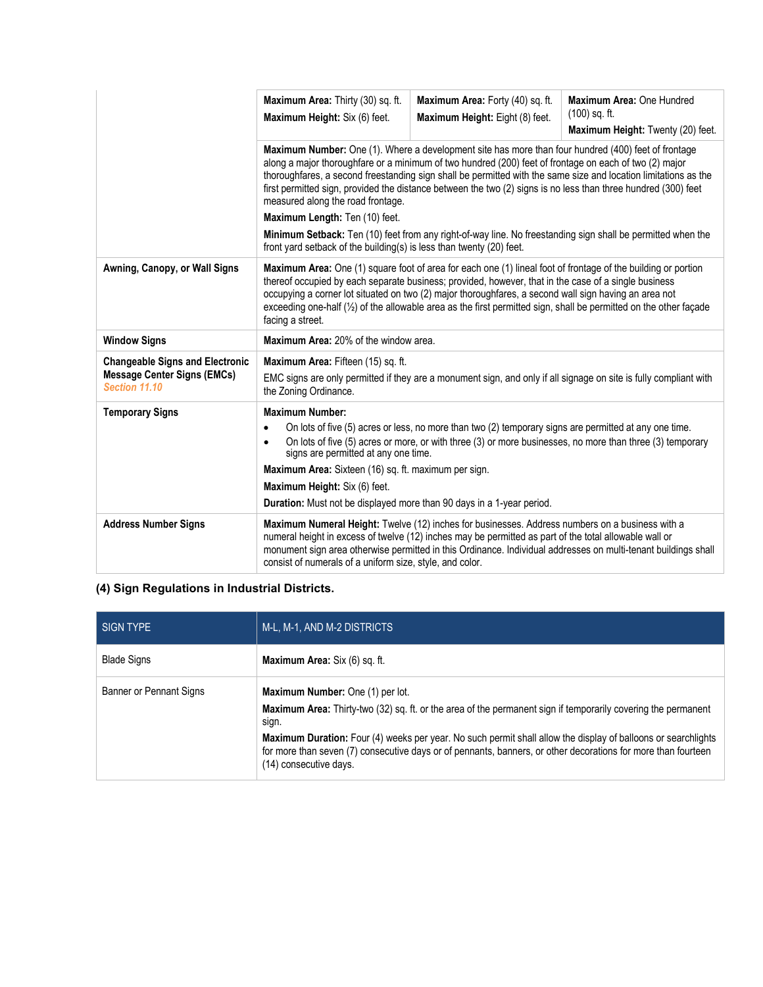|                                                                                               | Maximum Area: Thirty (30) sq. ft.<br>Maximum Height: Six (6) feet.                                                                                                                                                                                                                                                                                                                                                                                                                      | Maximum Area: Forty (40) sq. ft.<br>Maximum Height: Eight (8) feet. | Maximum Area: One Hundred<br>$(100)$ sq. ft.<br>Maximum Height: Twenty (20) feet. |  |
|-----------------------------------------------------------------------------------------------|-----------------------------------------------------------------------------------------------------------------------------------------------------------------------------------------------------------------------------------------------------------------------------------------------------------------------------------------------------------------------------------------------------------------------------------------------------------------------------------------|---------------------------------------------------------------------|-----------------------------------------------------------------------------------|--|
|                                                                                               | Maximum Number: One (1). Where a development site has more than four hundred (400) feet of frontage<br>along a major thoroughfare or a minimum of two hundred (200) feet of frontage on each of two (2) major<br>thoroughfares, a second freestanding sign shall be permitted with the same size and location limitations as the<br>first permitted sign, provided the distance between the two (2) signs is no less than three hundred (300) feet<br>measured along the road frontage. |                                                                     |                                                                                   |  |
|                                                                                               | Maximum Length: Ten (10) feet.                                                                                                                                                                                                                                                                                                                                                                                                                                                          |                                                                     |                                                                                   |  |
|                                                                                               | Minimum Setback: Ten (10) feet from any right-of-way line. No freestanding sign shall be permitted when the<br>front yard setback of the building(s) is less than twenty (20) feet.                                                                                                                                                                                                                                                                                                     |                                                                     |                                                                                   |  |
| Awning, Canopy, or Wall Signs                                                                 | Maximum Area: One (1) square foot of area for each one (1) lineal foot of frontage of the building or portion<br>thereof occupied by each separate business; provided, however, that in the case of a single business<br>occupying a corner lot situated on two (2) major thoroughfares, a second wall sign having an area not<br>exceeding one-half (1/2) of the allowable area as the first permitted sign, shall be permitted on the other façade<br>facing a street.                |                                                                     |                                                                                   |  |
| <b>Window Signs</b>                                                                           | Maximum Area: 20% of the window area.                                                                                                                                                                                                                                                                                                                                                                                                                                                   |                                                                     |                                                                                   |  |
| <b>Changeable Signs and Electronic</b><br><b>Message Center Signs (EMCs)</b><br>Section 11.10 | Maximum Area: Fifteen (15) sq. ft.<br>EMC signs are only permitted if they are a monument sign, and only if all signage on site is fully compliant with<br>the Zoning Ordinance.                                                                                                                                                                                                                                                                                                        |                                                                     |                                                                                   |  |
| <b>Temporary Signs</b>                                                                        | <b>Maximum Number:</b>                                                                                                                                                                                                                                                                                                                                                                                                                                                                  |                                                                     |                                                                                   |  |
|                                                                                               | On lots of five (5) acres or less, no more than two (2) temporary signs are permitted at any one time.<br>٠<br>On lots of five (5) acres or more, or with three (3) or more businesses, no more than three (3) temporary<br>$\bullet$<br>signs are permitted at any one time.                                                                                                                                                                                                           |                                                                     |                                                                                   |  |
|                                                                                               | Maximum Area: Sixteen (16) sq. ft. maximum per sign.                                                                                                                                                                                                                                                                                                                                                                                                                                    |                                                                     |                                                                                   |  |
|                                                                                               | Maximum Height: Six (6) feet.                                                                                                                                                                                                                                                                                                                                                                                                                                                           |                                                                     |                                                                                   |  |
|                                                                                               | Duration: Must not be displayed more than 90 days in a 1-year period.                                                                                                                                                                                                                                                                                                                                                                                                                   |                                                                     |                                                                                   |  |
| <b>Address Number Signs</b>                                                                   | Maximum Numeral Height: Twelve (12) inches for businesses. Address numbers on a business with a<br>numeral height in excess of twelve (12) inches may be permitted as part of the total allowable wall or<br>monument sign area otherwise permitted in this Ordinance. Individual addresses on multi-tenant buildings shall<br>consist of numerals of a uniform size, style, and color.                                                                                                 |                                                                     |                                                                                   |  |

# **(4) Sign Regulations in Industrial Districts.**

| SIGN TYPE               | M-L, M-1, AND M-2 DISTRICTS                                                                                                                                                                                                                                                                                                                                                                                                   |
|-------------------------|-------------------------------------------------------------------------------------------------------------------------------------------------------------------------------------------------------------------------------------------------------------------------------------------------------------------------------------------------------------------------------------------------------------------------------|
| <b>Blade Signs</b>      | Maximum Area: Six (6) sq. ft.                                                                                                                                                                                                                                                                                                                                                                                                 |
| Banner or Pennant Signs | <b>Maximum Number:</b> One (1) per lot.<br>Maximum Area: Thirty-two (32) sq. ft. or the area of the permanent sign if temporarily covering the permanent<br>sign.<br>Maximum Duration: Four (4) weeks per year. No such permit shall allow the display of balloons or searchlights<br>for more than seven (7) consecutive days or of pennants, banners, or other decorations for more than fourteen<br>(14) consecutive days. |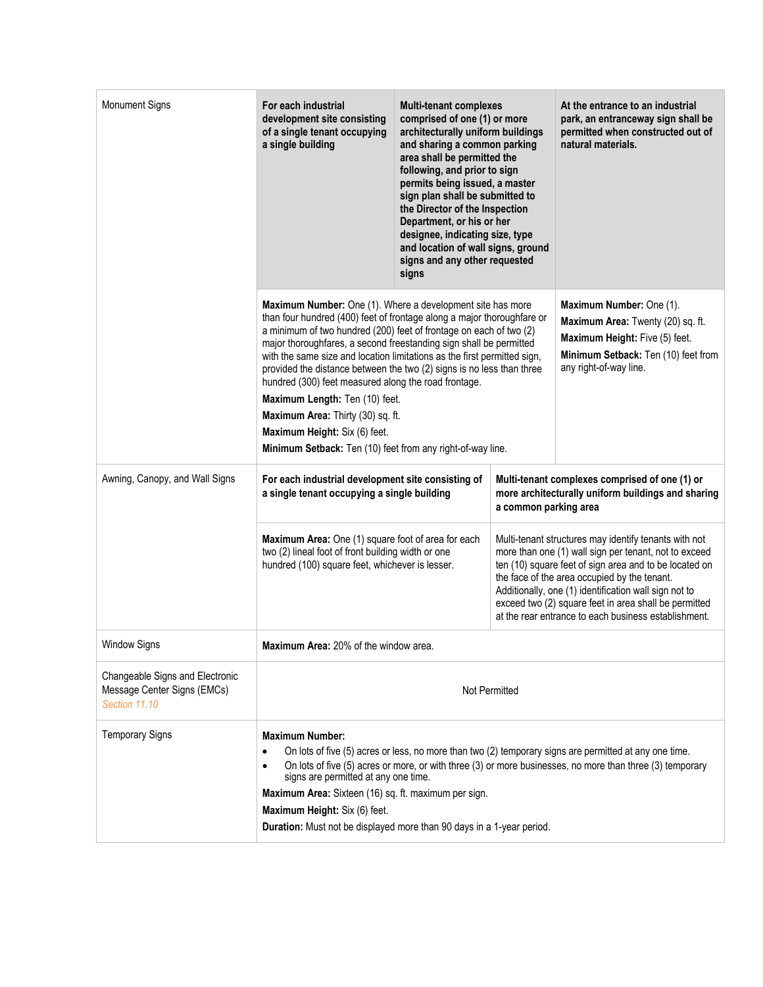| <b>Monument Signs</b>                                                           | For each industrial<br>development site consisting<br>of a single tenant occupying<br>a single building                                                                                                                                                                                                                                                                                                                                                                                                                                                                                                                                                             | <b>Multi-tenant complexes</b><br>comprised of one (1) or more<br>architecturally uniform buildings<br>and sharing a common parking<br>area shall be permitted the<br>following, and prior to sign<br>permits being issued, a master<br>sign plan shall be submitted to<br>the Director of the Inspection<br>Department, or his or her<br>designee, indicating size, type<br>and location of wall signs, ground<br>signs and any other requested<br>signs |                                                                                                                                                                                                                                                                                                                                                                                                    | At the entrance to an industrial<br>park, an entranceway sign shall be<br>permitted when constructed out of<br>natural materials.                                |
|---------------------------------------------------------------------------------|---------------------------------------------------------------------------------------------------------------------------------------------------------------------------------------------------------------------------------------------------------------------------------------------------------------------------------------------------------------------------------------------------------------------------------------------------------------------------------------------------------------------------------------------------------------------------------------------------------------------------------------------------------------------|----------------------------------------------------------------------------------------------------------------------------------------------------------------------------------------------------------------------------------------------------------------------------------------------------------------------------------------------------------------------------------------------------------------------------------------------------------|----------------------------------------------------------------------------------------------------------------------------------------------------------------------------------------------------------------------------------------------------------------------------------------------------------------------------------------------------------------------------------------------------|------------------------------------------------------------------------------------------------------------------------------------------------------------------|
|                                                                                 | Maximum Number: One (1). Where a development site has more<br>than four hundred (400) feet of frontage along a major thoroughfare or<br>a minimum of two hundred (200) feet of frontage on each of two (2)<br>major thoroughfares, a second freestanding sign shall be permitted<br>with the same size and location limitations as the first permitted sign,<br>provided the distance between the two (2) signs is no less than three<br>hundred (300) feet measured along the road frontage.<br>Maximum Length: Ten (10) feet.<br>Maximum Area: Thirty (30) sq. ft.<br>Maximum Height: Six (6) feet.<br>Minimum Setback: Ten (10) feet from any right-of-way line. |                                                                                                                                                                                                                                                                                                                                                                                                                                                          |                                                                                                                                                                                                                                                                                                                                                                                                    | Maximum Number: One (1).<br>Maximum Area: Twenty (20) sq. ft.<br>Maximum Height: Five (5) feet.<br>Minimum Setback: Ten (10) feet from<br>any right-of-way line. |
| Awning, Canopy, and Wall Signs                                                  | For each industrial development site consisting of<br>a single tenant occupying a single building<br>a common parking area<br>Maximum Area: One (1) square foot of area for each<br>two (2) lineal foot of front building width or one<br>hundred (100) square feet, whichever is lesser.                                                                                                                                                                                                                                                                                                                                                                           |                                                                                                                                                                                                                                                                                                                                                                                                                                                          | Multi-tenant complexes comprised of one (1) or<br>more architecturally uniform buildings and sharing                                                                                                                                                                                                                                                                                               |                                                                                                                                                                  |
|                                                                                 |                                                                                                                                                                                                                                                                                                                                                                                                                                                                                                                                                                                                                                                                     |                                                                                                                                                                                                                                                                                                                                                                                                                                                          | Multi-tenant structures may identify tenants with not<br>more than one (1) wall sign per tenant, not to exceed<br>ten (10) square feet of sign area and to be located on<br>the face of the area occupied by the tenant.<br>Additionally, one (1) identification wall sign not to<br>exceed two (2) square feet in area shall be permitted<br>at the rear entrance to each business establishment. |                                                                                                                                                                  |
| Window Signs                                                                    | <b>Maximum Area: 20% of the window area</b>                                                                                                                                                                                                                                                                                                                                                                                                                                                                                                                                                                                                                         |                                                                                                                                                                                                                                                                                                                                                                                                                                                          |                                                                                                                                                                                                                                                                                                                                                                                                    |                                                                                                                                                                  |
| Changeable Signs and Electronic<br>Message Center Signs (EMCs)<br>Section 11.10 | Not Permitted                                                                                                                                                                                                                                                                                                                                                                                                                                                                                                                                                                                                                                                       |                                                                                                                                                                                                                                                                                                                                                                                                                                                          |                                                                                                                                                                                                                                                                                                                                                                                                    |                                                                                                                                                                  |
| <b>Temporary Signs</b>                                                          | <b>Maximum Number:</b><br>On lots of five (5) acres or less, no more than two (2) temporary signs are permitted at any one time.<br>$\bullet$<br>On lots of five (5) acres or more, or with three (3) or more businesses, no more than three (3) temporary<br>$\bullet$<br>signs are permitted at any one time.<br>Maximum Area: Sixteen (16) sq. ft. maximum per sign.<br>Maximum Height: Six (6) feet.<br>Duration: Must not be displayed more than 90 days in a 1-year period.                                                                                                                                                                                   |                                                                                                                                                                                                                                                                                                                                                                                                                                                          |                                                                                                                                                                                                                                                                                                                                                                                                    |                                                                                                                                                                  |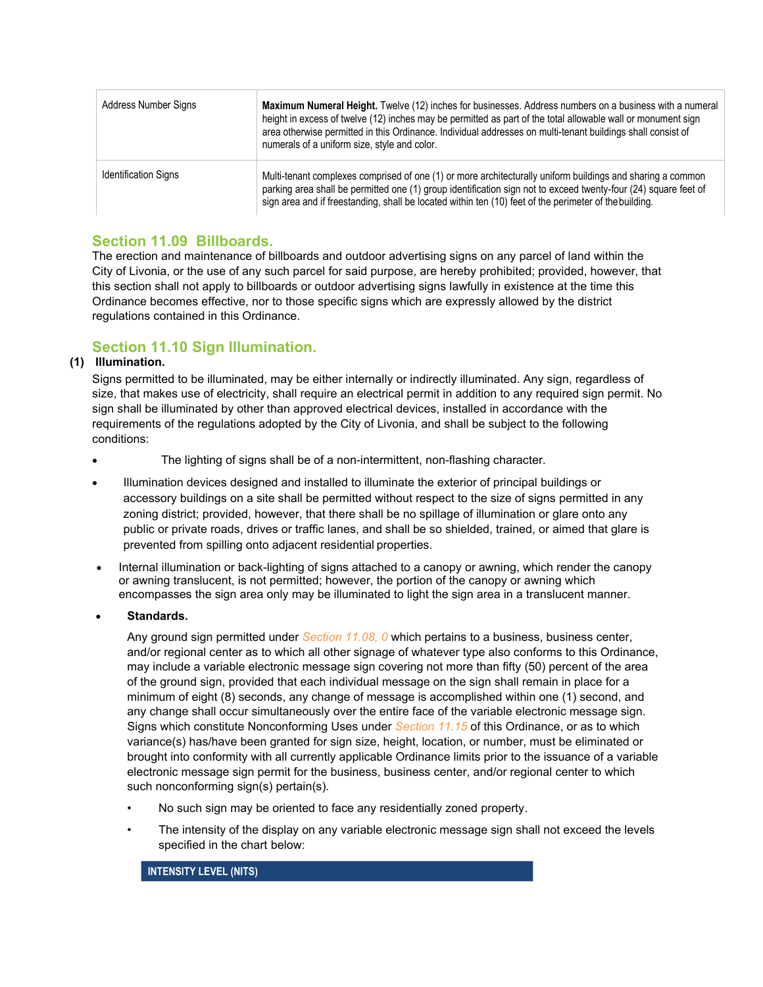| Address Number Signs        | Maximum Numeral Height. Twelve (12) inches for businesses. Address numbers on a business with a numeral<br>height in excess of twelve (12) inches may be permitted as part of the total allowable wall or monument sign<br>area otherwise permitted in this Ordinance. Individual addresses on multi-tenant buildings shall consist of<br>numerals of a uniform size, style and color. |
|-----------------------------|----------------------------------------------------------------------------------------------------------------------------------------------------------------------------------------------------------------------------------------------------------------------------------------------------------------------------------------------------------------------------------------|
| <b>Identification Signs</b> | Multi-tenant complexes comprised of one (1) or more architecturally uniform buildings and sharing a common<br>parking area shall be permitted one (1) group identification sign not to exceed twenty-four (24) square feet of<br>sign area and if freestanding, shall be located within ten (10) feet of the perimeter of the building.                                                |

## **Section 11.09 Billboards.**

The erection and maintenance of billboards and outdoor advertising signs on any parcel of land within the City of Livonia, or the use of any such parcel for said purpose, are hereby prohibited; provided, however, that this section shall not apply to billboards or outdoor advertising signs lawfully in existence at the time this Ordinance becomes effective, nor to those specific signs which are expressly allowed by the district regulations contained in this Ordinance.

# **Section 11.10 Sign Illumination.**

## **(1) Illumination.**

Signs permitted to be illuminated, may be either internally or indirectly illuminated. Any sign, regardless of size, that makes use of electricity, shall require an electrical permit in addition to any required sign permit. No sign shall be illuminated by other than approved electrical devices, installed in accordance with the requirements of the regulations adopted by the City of Livonia, and shall be subject to the following conditions:

- The lighting of signs shall be of a non-intermittent, non-flashing character.
- Illumination devices designed and installed to illuminate the exterior of principal buildings or accessory buildings on a site shall be permitted without respect to the size of signs permitted in any zoning district; provided, however, that there shall be no spillage of illumination or glare onto any public or private roads, drives or traffic lanes, and shall be so shielded, trained, or aimed that glare is prevented from spilling onto adjacent residential properties.
- Internal illumination or back-lighting of signs attached to a canopy or awning, which render the canopy or awning translucent, is not permitted; however, the portion of the canopy or awning which encompasses the sign area only may be illuminated to light the sign area in a translucent manner.
- **Standards.**

Any ground sign permitted under *Section 11.08, 0* which pertains to a business, business center, and/or regional center as to which all other signage of whatever type also conforms to this Ordinance, may include a variable electronic message sign covering not more than fifty (50) percent of the area of the ground sign, provided that each individual message on the sign shall remain in place for a minimum of eight (8) seconds, any change of message is accomplished within one (1) second, and any change shall occur simultaneously over the entire face of the variable electronic message sign. Signs which constitute Nonconforming Uses under *Section 11.15* of this Ordinance, or as to which variance(s) has/have been granted for sign size, height, location, or number, must be eliminated or brought into conformity with all currently applicable Ordinance limits prior to the issuance of a variable electronic message sign permit for the business, business center, and/or regional center to which such nonconforming sign(s) pertain(s).

- No such sign may be oriented to face any residentially zoned property.
- The intensity of the display on any variable electronic message sign shall not exceed the levels specified in the chart below:

## **INTENSITY LEVEL (NITS)**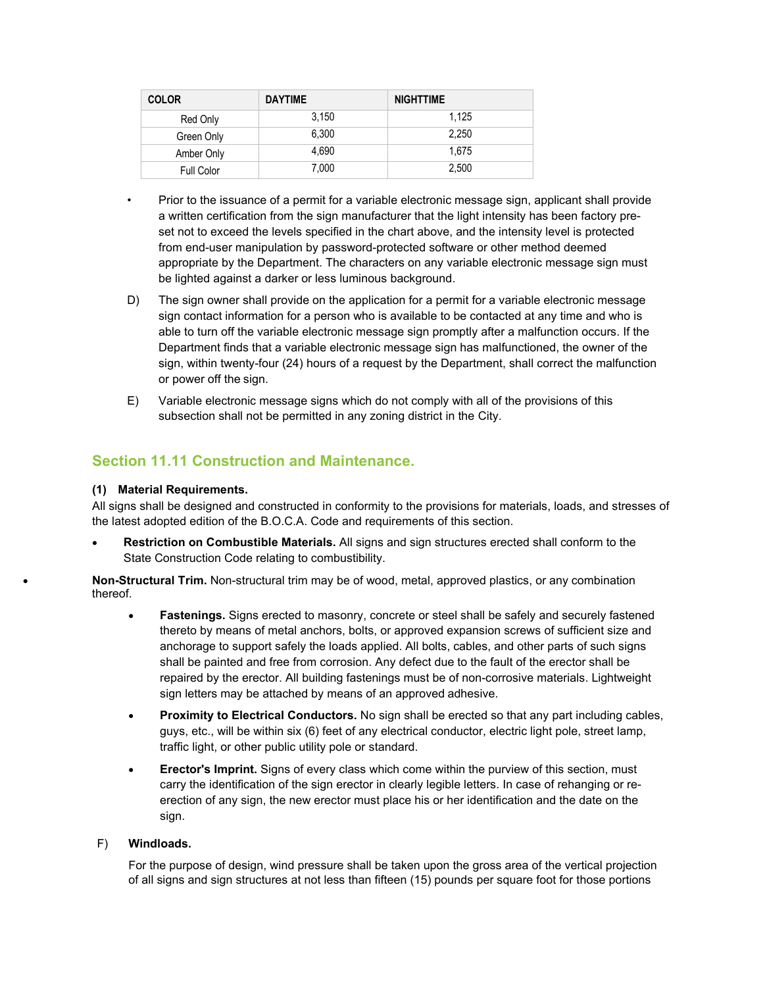| <b>COLOR</b>      | <b>DAYTIME</b> | <b>NIGHTTIME</b> |
|-------------------|----------------|------------------|
| Red Only          | 3.150          | 1.125            |
| Green Only        | 6.300          | 2.250            |
| Amber Only        | 4.690          | 1.675            |
| <b>Full Color</b> | 7,000          | 2,500            |

• Prior to the issuance of a permit for a variable electronic message sign, applicant shall provide a written certification from the sign manufacturer that the light intensity has been factory preset not to exceed the levels specified in the chart above, and the intensity level is protected from end-user manipulation by password-protected software or other method deemed appropriate by the Department. The characters on any variable electronic message sign must be lighted against a darker or less luminous background.

- D) The sign owner shall provide on the application for a permit for a variable electronic message sign contact information for a person who is available to be contacted at any time and who is able to turn off the variable electronic message sign promptly after a malfunction occurs. If the Department finds that a variable electronic message sign has malfunctioned, the owner of the sign, within twenty-four (24) hours of a request by the Department, shall correct the malfunction or power off the sign.
- E) Variable electronic message signs which do not comply with all of the provisions of this subsection shall not be permitted in any zoning district in the City.

# **Section 11.11 Construction and Maintenance.**

## **(1) Material Requirements.**

All signs shall be designed and constructed in conformity to the provisions for materials, loads, and stresses of the latest adopted edition of the B.O.C.A. Code and requirements of this section.

• **Restriction on Combustible Materials.** All signs and sign structures erected shall conform to the State Construction Code relating to combustibility.

• **Non-Structural Trim.** Non-structural trim may be of wood, metal, approved plastics, or any combination thereof.

- **Fastenings.** Signs erected to masonry, concrete or steel shall be safely and securely fastened thereto by means of metal anchors, bolts, or approved expansion screws of sufficient size and anchorage to support safely the loads applied. All bolts, cables, and other parts of such signs shall be painted and free from corrosion. Any defect due to the fault of the erector shall be repaired by the erector. All building fastenings must be of non-corrosive materials. Lightweight sign letters may be attached by means of an approved adhesive.
- **Proximity to Electrical Conductors.** No sign shall be erected so that any part including cables, guys, etc., will be within six (6) feet of any electrical conductor, electric light pole, street lamp, traffic light, or other public utility pole or standard.
- **Erector's Imprint.** Signs of every class which come within the purview of this section, must carry the identification of the sign erector in clearly legible letters. In case of rehanging or reerection of any sign, the new erector must place his or her identification and the date on the sign.

#### F) **Windloads.**

For the purpose of design, wind pressure shall be taken upon the gross area of the vertical projection of all signs and sign structures at not less than fifteen (15) pounds per square foot for those portions